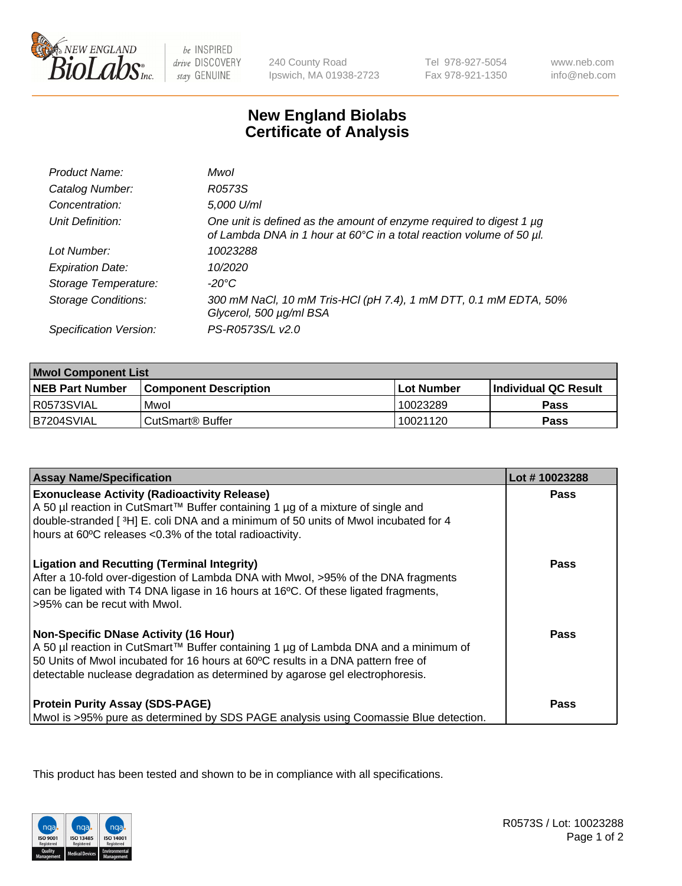

 $be$  INSPIRED drive DISCOVERY stay GENUINE

240 County Road Ipswich, MA 01938-2723 Tel 978-927-5054 Fax 978-921-1350

www.neb.com info@neb.com

## **New England Biolabs Certificate of Analysis**

| Product Name:              | Mwol                                                                                                                                        |
|----------------------------|---------------------------------------------------------------------------------------------------------------------------------------------|
| Catalog Number:            | R0573S                                                                                                                                      |
| Concentration:             | 5,000 U/ml                                                                                                                                  |
| Unit Definition:           | One unit is defined as the amount of enzyme required to digest 1 µg<br>of Lambda DNA in 1 hour at 60°C in a total reaction volume of 50 µl. |
| Lot Number:                | 10023288                                                                                                                                    |
| <b>Expiration Date:</b>    | 10/2020                                                                                                                                     |
| Storage Temperature:       | -20°C                                                                                                                                       |
| <b>Storage Conditions:</b> | 300 mM NaCl, 10 mM Tris-HCl (pH 7.4), 1 mM DTT, 0.1 mM EDTA, 50%<br>Glycerol, 500 µg/ml BSA                                                 |
| Specification Version:     | PS-R0573S/L v2.0                                                                                                                            |

| <b>Mwol Component List</b> |                              |             |                             |  |
|----------------------------|------------------------------|-------------|-----------------------------|--|
| <b>NEB Part Number</b>     | <b>Component Description</b> | ⊺Lot Number | <b>Individual QC Result</b> |  |
| I R0573SVIAL               | Mwol                         | 10023289    | Pass                        |  |
| B7204SVIAL                 | l CutSmart® Buffer           | 10021120    | Pass                        |  |

| <b>Assay Name/Specification</b>                                                                                                                                                                                                                                                                          | Lot #10023288 |
|----------------------------------------------------------------------------------------------------------------------------------------------------------------------------------------------------------------------------------------------------------------------------------------------------------|---------------|
| <b>Exonuclease Activity (Radioactivity Release)</b><br>A 50 µl reaction in CutSmart™ Buffer containing 1 µg of a mixture of single and<br>double-stranded [3H] E. coli DNA and a minimum of 50 units of Mwol incubated for 4<br>hours at 60°C releases <0.3% of the total radioactivity.                 | <b>Pass</b>   |
| <b>Ligation and Recutting (Terminal Integrity)</b><br>After a 10-fold over-digestion of Lambda DNA with Mwol, >95% of the DNA fragments<br>can be ligated with T4 DNA ligase in 16 hours at 16°C. Of these ligated fragments,<br>>95% can be recut with Mwol.                                            | Pass          |
| <b>Non-Specific DNase Activity (16 Hour)</b><br>A 50 µl reaction in CutSmart™ Buffer containing 1 µg of Lambda DNA and a minimum of<br>50 Units of Mwol incubated for 16 hours at 60°C results in a DNA pattern free of<br>detectable nuclease degradation as determined by agarose gel electrophoresis. | Pass          |
| <b>Protein Purity Assay (SDS-PAGE)</b><br>Mwol is >95% pure as determined by SDS PAGE analysis using Coomassie Blue detection.                                                                                                                                                                           | Pass          |

This product has been tested and shown to be in compliance with all specifications.